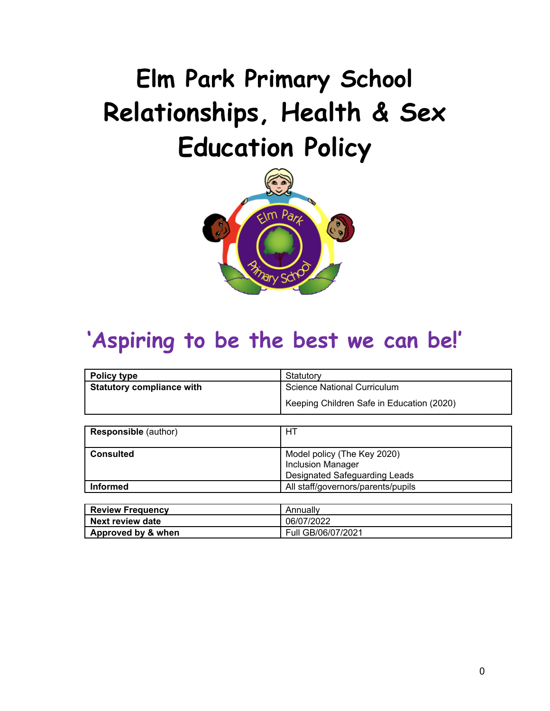# **Elm Park Primary School Relationships, Health & Sex Education Policy**



# **'Aspiring to be the best we can be!'**

| Policy type                      | Statutory                                 |
|----------------------------------|-------------------------------------------|
| <b>Statutory compliance with</b> | <b>Science National Curriculum</b>        |
|                                  | Keeping Children Safe in Education (2020) |
|                                  |                                           |
| <b>Responsible (author)</b>      | HТ                                        |
|                                  |                                           |
| <b>Consulted</b>                 | Model policy (The Key 2020)               |
|                                  | <b>Inclusion Manager</b>                  |
|                                  | Designated Safeguarding Leads             |
| <b>Informed</b>                  | All staff/governors/parents/pupils        |

| Review Frequency   | Annually           |
|--------------------|--------------------|
| l Next review date | 06/07/2022         |
| Approved by & when | Full GB/06/07/2021 |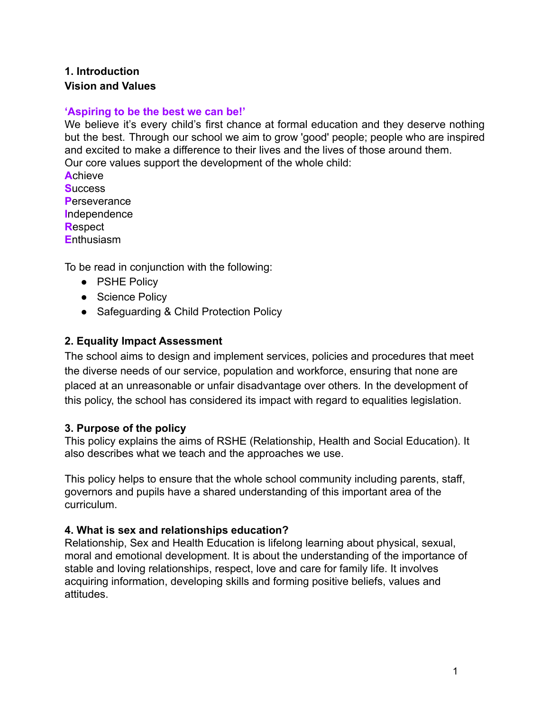#### **1. Introduction Vision and Values**

#### **'Aspiring to be the best we can be!'**

We believe it's every child's first chance at formal education and they deserve nothing but the best. Through our school we aim to grow 'good' people; people who are inspired and excited to make a difference to their lives and the lives of those around them. Our core values support the development of the whole child: **A**chieve

**S**uccess **P**erseverance **I**ndependence **R**espect **E**nthusiasm

To be read in conjunction with the following:

- PSHE Policy
- Science Policy
- Safequarding & Child Protection Policy

#### **2. Equality Impact Assessment**

The school aims to design and implement services, policies and procedures that meet the diverse needs of our service, population and workforce, ensuring that none are placed at an unreasonable or unfair disadvantage over others*.* In the development of this policy, the school has considered its impact with regard to equalities legislation.

#### **3. Purpose of the policy**

This policy explains the aims of RSHE (Relationship, Health and Social Education). It also describes what we teach and the approaches we use.

This policy helps to ensure that the whole school community including parents, staff, governors and pupils have a shared understanding of this important area of the curriculum.

#### **4. What is sex and relationships education?**

Relationship, Sex and Health Education is lifelong learning about physical, sexual, moral and emotional development. It is about the understanding of the importance of stable and loving relationships, respect, love and care for family life. It involves acquiring information, developing skills and forming positive beliefs, values and attitudes.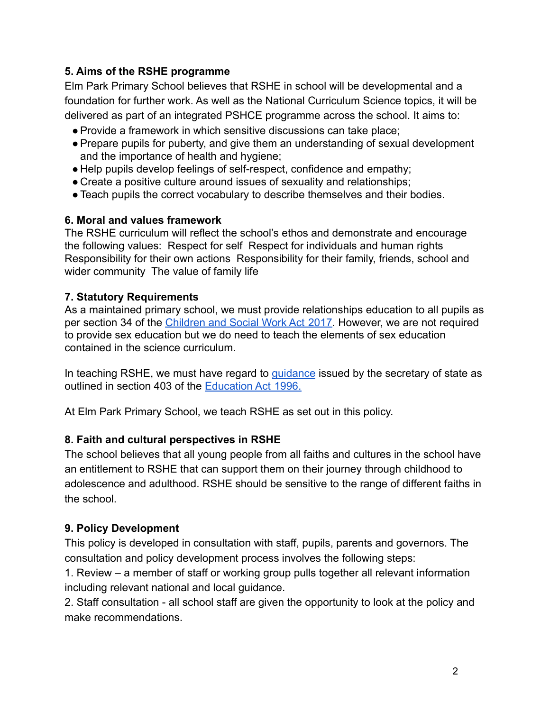#### **5. Aims of the RSHE programme**

Elm Park Primary School believes that RSHE in school will be developmental and a foundation for further work. As well as the National Curriculum Science topics, it will be delivered as part of an integrated PSHCE programme across the school. It aims to:

- ●Provide a framework in which sensitive discussions can take place;
- ●Prepare pupils for puberty, and give them an understanding of sexual development and the importance of health and hygiene;
- Help pupils develop feelings of self-respect, confidence and empathy;
- Create a positive culture around issues of sexuality and relationships;
- ●Teach pupils the correct vocabulary to describe themselves and their bodies.

#### **6. Moral and values framework**

The RSHE curriculum will reflect the school's ethos and demonstrate and encourage the following values: Respect for self Respect for individuals and human rights Responsibility for their own actions Responsibility for their family, friends, school and wider community The value of family life

#### **7. Statutory Requirements**

As a maintained primary school, we must provide relationships education to all pupils as per section 34 of the [Children and Social Work Act](https://www.legislation.gov.uk/ukpga/2017/16/section/34/enacted) 2017. However, we are not required to provide sex education but we do need to teach the elements of sex education contained in the science curriculum.

In teaching RSHE, we must have regard to *[guidance](https://www.gov.uk/government/consultations/relationships-and-sex-education-and-health-education)* issued by the secretary of state as outlined in section 403 of the [Education Act](https://www.legislation.gov.uk/ukpga/1996/56/contents) 1996.

At Elm Park Primary School, we teach RSHE as set out in this policy.

#### **8. Faith and cultural perspectives in RSHE**

The school believes that all young people from all faiths and cultures in the school have an entitlement to RSHE that can support them on their journey through childhood to adolescence and adulthood. RSHE should be sensitive to the range of different faiths in the school.

#### **9. Policy Development**

This policy is developed in consultation with staff, pupils, parents and governors. The consultation and policy development process involves the following steps:

1. Review – a member of staff or working group pulls together all relevant information including relevant national and local guidance.

2. Staff consultation - all school staff are given the opportunity to look at the policy and make recommendations.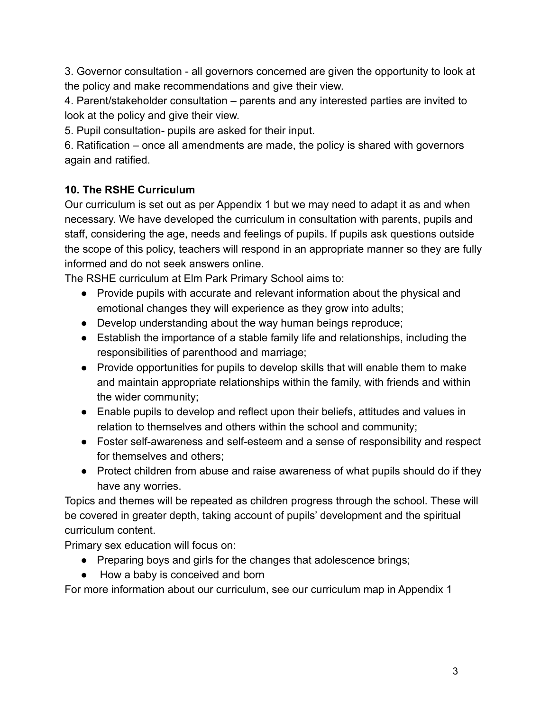3. Governor consultation - all governors concerned are given the opportunity to look at the policy and make recommendations and give their view.

4. Parent/stakeholder consultation – parents and any interested parties are invited to look at the policy and give their view.

5. Pupil consultation- pupils are asked for their input.

6. Ratification – once all amendments are made, the policy is shared with governors again and ratified.

# **10. The RSHE Curriculum**

Our curriculum is set out as per Appendix 1 but we may need to adapt it as and when necessary. We have developed the curriculum in consultation with parents, pupils and staff, considering the age, needs and feelings of pupils. If pupils ask questions outside the scope of this policy, teachers will respond in an appropriate manner so they are fully informed and do not seek answers online.

The RSHE curriculum at Elm Park Primary School aims to:

- Provide pupils with accurate and relevant information about the physical and emotional changes they will experience as they grow into adults;
- Develop understanding about the way human beings reproduce;
- Establish the importance of a stable family life and relationships, including the responsibilities of parenthood and marriage;
- Provide opportunities for pupils to develop skills that will enable them to make and maintain appropriate relationships within the family, with friends and within the wider community;
- Enable pupils to develop and reflect upon their beliefs, attitudes and values in relation to themselves and others within the school and community;
- Foster self-awareness and self-esteem and a sense of responsibility and respect for themselves and others;
- Protect children from abuse and raise awareness of what pupils should do if they have any worries.

Topics and themes will be repeated as children progress through the school. These will be covered in greater depth, taking account of pupils' development and the spiritual curriculum content.

Primary sex education will focus on:

- Preparing boys and girls for the changes that adolescence brings;
- How a baby is conceived and born

For more information about our curriculum, see our curriculum map in Appendix 1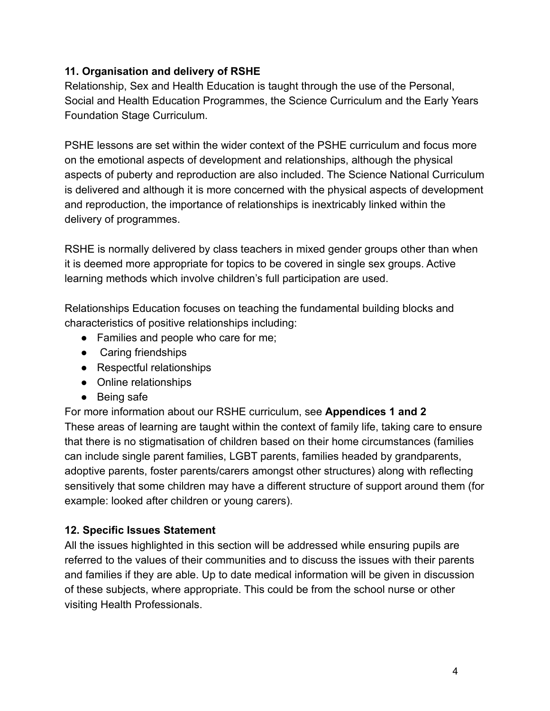#### **11. Organisation and delivery of RSHE**

Relationship, Sex and Health Education is taught through the use of the Personal, Social and Health Education Programmes, the Science Curriculum and the Early Years Foundation Stage Curriculum.

PSHE lessons are set within the wider context of the PSHE curriculum and focus more on the emotional aspects of development and relationships, although the physical aspects of puberty and reproduction are also included. The Science National Curriculum is delivered and although it is more concerned with the physical aspects of development and reproduction, the importance of relationships is inextricably linked within the delivery of programmes.

RSHE is normally delivered by class teachers in mixed gender groups other than when it is deemed more appropriate for topics to be covered in single sex groups. Active learning methods which involve children's full participation are used.

Relationships Education focuses on teaching the fundamental building blocks and characteristics of positive relationships including:

- Families and people who care for me;
- Caring friendships
- Respectful relationships
- Online relationships
- Being safe

For more information about our RSHE curriculum, see **Appendices 1 and 2** These areas of learning are taught within the context of family life, taking care to ensure that there is no stigmatisation of children based on their home circumstances (families can include single parent families, LGBT parents, families headed by grandparents, adoptive parents, foster parents/carers amongst other structures) along with reflecting sensitively that some children may have a different structure of support around them (for example: looked after children or young carers).

#### **12. Specific Issues Statement**

All the issues highlighted in this section will be addressed while ensuring pupils are referred to the values of their communities and to discuss the issues with their parents and families if they are able. Up to date medical information will be given in discussion of these subjects, where appropriate. This could be from the school nurse or other visiting Health Professionals.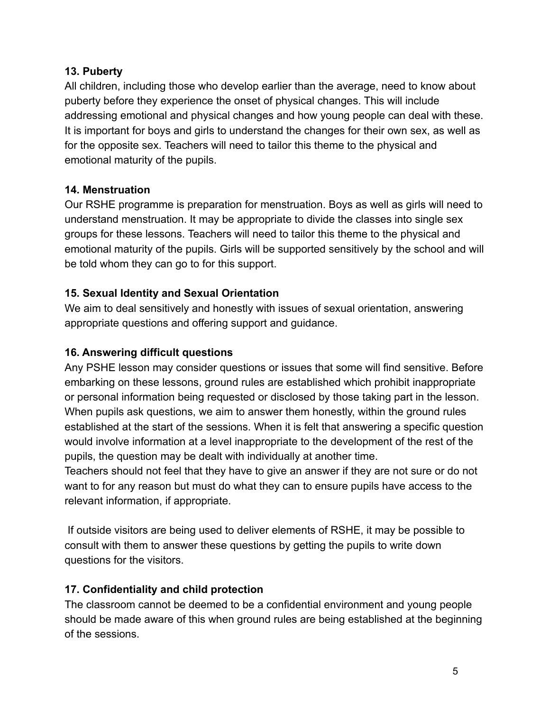#### **13. Puberty**

All children, including those who develop earlier than the average, need to know about puberty before they experience the onset of physical changes. This will include addressing emotional and physical changes and how young people can deal with these. It is important for boys and girls to understand the changes for their own sex, as well as for the opposite sex. Teachers will need to tailor this theme to the physical and emotional maturity of the pupils.

#### **14. Menstruation**

Our RSHE programme is preparation for menstruation. Boys as well as girls will need to understand menstruation. It may be appropriate to divide the classes into single sex groups for these lessons. Teachers will need to tailor this theme to the physical and emotional maturity of the pupils. Girls will be supported sensitively by the school and will be told whom they can go to for this support.

#### **15. Sexual Identity and Sexual Orientation**

We aim to deal sensitively and honestly with issues of sexual orientation, answering appropriate questions and offering support and guidance.

#### **16. Answering difficult questions**

Any PSHE lesson may consider questions or issues that some will find sensitive. Before embarking on these lessons, ground rules are established which prohibit inappropriate or personal information being requested or disclosed by those taking part in the lesson. When pupils ask questions, we aim to answer them honestly, within the ground rules established at the start of the sessions. When it is felt that answering a specific question would involve information at a level inappropriate to the development of the rest of the pupils, the question may be dealt with individually at another time.

Teachers should not feel that they have to give an answer if they are not sure or do not want to for any reason but must do what they can to ensure pupils have access to the relevant information, if appropriate.

If outside visitors are being used to deliver elements of RSHE, it may be possible to consult with them to answer these questions by getting the pupils to write down questions for the visitors.

#### **17. Confidentiality and child protection**

The classroom cannot be deemed to be a confidential environment and young people should be made aware of this when ground rules are being established at the beginning of the sessions.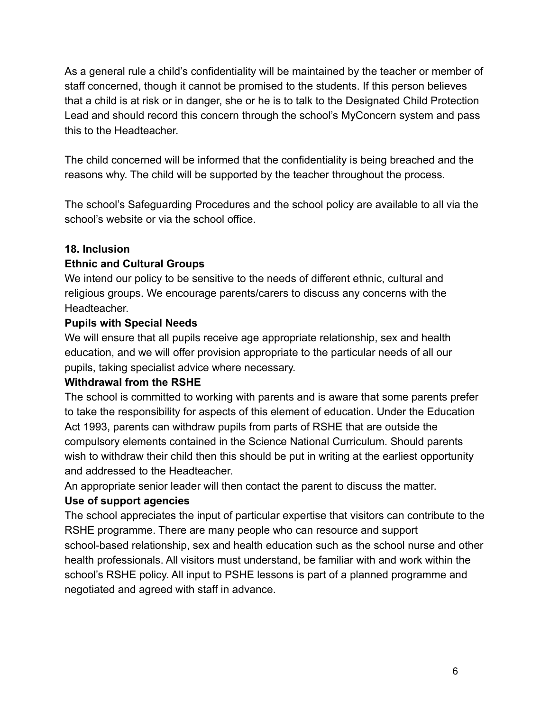As a general rule a child's confidentiality will be maintained by the teacher or member of staff concerned, though it cannot be promised to the students. If this person believes that a child is at risk or in danger, she or he is to talk to the Designated Child Protection Lead and should record this concern through the school's MyConcern system and pass this to the Headteacher.

The child concerned will be informed that the confidentiality is being breached and the reasons why. The child will be supported by the teacher throughout the process.

The school's Safeguarding Procedures and the school policy are available to all via the school's website or via the school office.

#### **18. Inclusion**

#### **Ethnic and Cultural Groups**

We intend our policy to be sensitive to the needs of different ethnic, cultural and religious groups. We encourage parents/carers to discuss any concerns with the Headteacher.

#### **Pupils with Special Needs**

We will ensure that all pupils receive age appropriate relationship, sex and health education, and we will offer provision appropriate to the particular needs of all our pupils, taking specialist advice where necessary.

#### **Withdrawal from the RSHE**

The school is committed to working with parents and is aware that some parents prefer to take the responsibility for aspects of this element of education. Under the Education Act 1993, parents can withdraw pupils from parts of RSHE that are outside the compulsory elements contained in the Science National Curriculum. Should parents wish to withdraw their child then this should be put in writing at the earliest opportunity and addressed to the Headteacher.

An appropriate senior leader will then contact the parent to discuss the matter.

#### **Use of support agencies**

The school appreciates the input of particular expertise that visitors can contribute to the RSHE programme. There are many people who can resource and support school-based relationship, sex and health education such as the school nurse and other health professionals. All visitors must understand, be familiar with and work within the school's RSHE policy. All input to PSHE lessons is part of a planned programme and negotiated and agreed with staff in advance.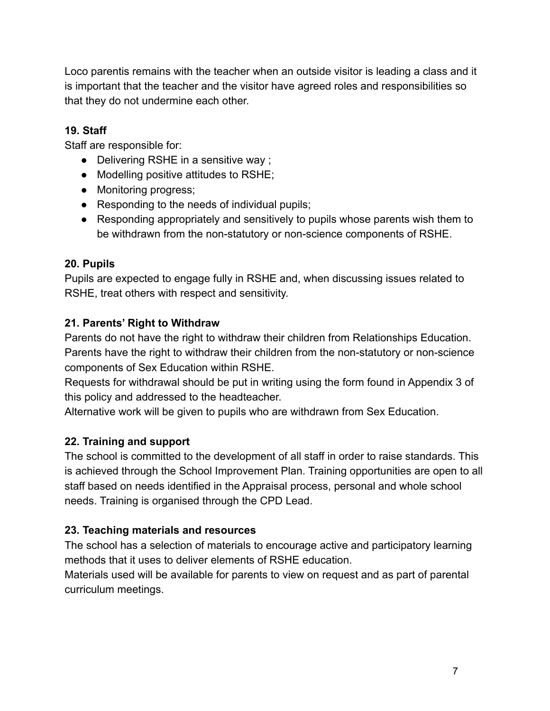Loco parentis remains with the teacher when an outside visitor is leading a class and it is important that the teacher and the visitor have agreed roles and responsibilities so that they do not undermine each other.

#### **19. Staff**

Staff are responsible for:

- Delivering RSHE in a sensitive way ;
- Modelling positive attitudes to RSHE;
- Monitoring progress;
- Responding to the needs of individual pupils;
- Responding appropriately and sensitively to pupils whose parents wish them to be withdrawn from the non-statutory or non-science components of RSHE.

#### **20. Pupils**

Pupils are expected to engage fully in RSHE and, when discussing issues related to RSHE, treat others with respect and sensitivity.

#### **21. Parents' Right to Withdraw**

Parents do not have the right to withdraw their children from Relationships Education. Parents have the right to withdraw their children from the non-statutory or non-science components of Sex Education within RSHE.

Requests for withdrawal should be put in writing using the form found in Appendix 3 of this policy and addressed to the headteacher.

Alternative work will be given to pupils who are withdrawn from Sex Education.

#### **22. Training and support**

The school is committed to the development of all staff in order to raise standards. This is achieved through the School Improvement Plan. Training opportunities are open to all staff based on needs identified in the Appraisal process, personal and whole school needs. Training is organised through the CPD Lead.

### **23. Teaching materials and resources**

The school has a selection of materials to encourage active and participatory learning methods that it uses to deliver elements of RSHE education.

Materials used will be available for parents to view on request and as part of parental curriculum meetings.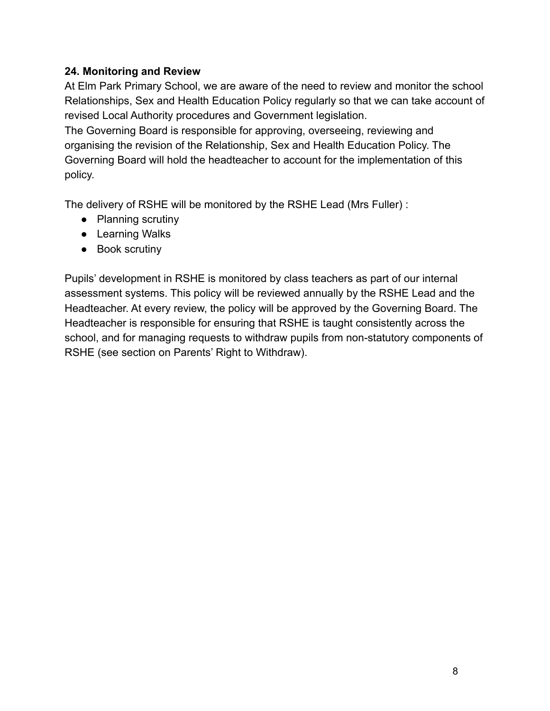#### **24. Monitoring and Review**

At Elm Park Primary School, we are aware of the need to review and monitor the school Relationships, Sex and Health Education Policy regularly so that we can take account of revised Local Authority procedures and Government legislation.

The Governing Board is responsible for approving, overseeing, reviewing and organising the revision of the Relationship, Sex and Health Education Policy. The Governing Board will hold the headteacher to account for the implementation of this policy.

The delivery of RSHE will be monitored by the RSHE Lead (Mrs Fuller) :

- Planning scrutiny
- Learning Walks
- Book scrutiny

Pupils' development in RSHE is monitored by class teachers as part of our internal assessment systems. This policy will be reviewed annually by the RSHE Lead and the Headteacher. At every review, the policy will be approved by the Governing Board. The Headteacher is responsible for ensuring that RSHE is taught consistently across the school, and for managing requests to withdraw pupils from non-statutory components of RSHE (see section on Parents' Right to Withdraw).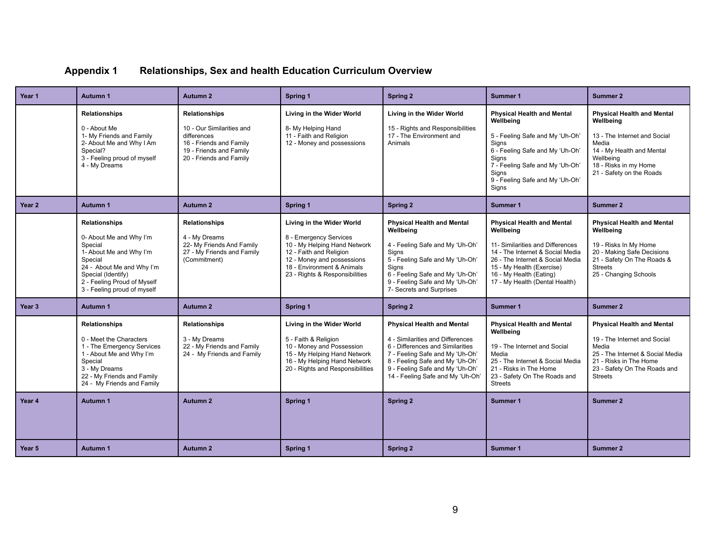| <b>Appendix 1</b> | <b>Relationships, Sex and health Education Curriculum Overview</b> |  |  |  |  |
|-------------------|--------------------------------------------------------------------|--|--|--|--|
|-------------------|--------------------------------------------------------------------|--|--|--|--|

| Year 1            | Autumn 1                                                                                                                                                                                                             | <b>Autumn 2</b>                                                                                                                                   | Spring 1                                                                                                                                                                                                     | Spring 2                                                                                                                                                                                                                                                           | Summer 1                                                                                                                                                                                                                                             | <b>Summer 2</b>                                                                                                                                                                                        |
|-------------------|----------------------------------------------------------------------------------------------------------------------------------------------------------------------------------------------------------------------|---------------------------------------------------------------------------------------------------------------------------------------------------|--------------------------------------------------------------------------------------------------------------------------------------------------------------------------------------------------------------|--------------------------------------------------------------------------------------------------------------------------------------------------------------------------------------------------------------------------------------------------------------------|------------------------------------------------------------------------------------------------------------------------------------------------------------------------------------------------------------------------------------------------------|--------------------------------------------------------------------------------------------------------------------------------------------------------------------------------------------------------|
|                   | <b>Relationships</b><br>0 - About Me<br>1- My Friends and Family<br>2- About Me and Why I Am<br>Special?<br>3 - Feeling proud of myself<br>4 - My Dreams                                                             | <b>Relationships</b><br>10 - Our Similarities and<br>differences<br>16 - Friends and Family<br>19 - Friends and Family<br>20 - Friends and Family | Living in the Wider World<br>8- My Helping Hand<br>11 - Faith and Religion<br>12 - Money and possessions                                                                                                     | Living in the Wider World<br>15 - Rights and Responsibilities<br>17 - The Environment and<br>Animals                                                                                                                                                               | <b>Physical Health and Mental</b><br>Wellbeing<br>5 - Feeling Safe and My 'Uh-Oh'<br>Sians<br>6 - Feeling Safe and My 'Uh-Oh'<br><b>Signs</b><br>7 - Feeling Safe and My 'Uh-Oh'<br>Signs<br>9 - Feeling Safe and My 'Uh-Oh'<br>Signs                | <b>Physical Health and Mental</b><br>Wellbeing<br>13 - The Internet and Social<br>Media<br>14 - My Health and Mental<br>Wellbeina<br>18 - Risks in my Home<br>21 - Safety on the Roads                 |
| Year 2            | Autumn 1                                                                                                                                                                                                             | <b>Autumn 2</b>                                                                                                                                   | Spring 1                                                                                                                                                                                                     | Spring 2                                                                                                                                                                                                                                                           | Summer 1                                                                                                                                                                                                                                             | <b>Summer 2</b>                                                                                                                                                                                        |
|                   | <b>Relationships</b><br>0- About Me and Why I'm<br>Special<br>1- About Me and Why I'm<br>Special<br>24 - About Me and Why I'm<br>Special (Identify)<br>2 - Feeling Proud of Myself<br>3 - Feeling proud of myself    | <b>Relationships</b><br>4 - My Dreams<br>22- My Friends And Family<br>27 - My Friends and Family<br>(Commitment)                                  | Living in the Wider World<br>8 - Emergency Services<br>10 - My Helping Hand Network<br>12 - Faith and Religion<br>12 - Money and possessions<br>18 - Environment & Animals<br>23 - Rights & Responsibilities | <b>Physical Health and Mental</b><br>Wellbeing<br>4 - Feeling Safe and My 'Uh-Oh'<br>Signs<br>5 - Feeling Safe and My 'Uh-Oh'<br>Signs<br>6 - Feeling Safe and My 'Uh-Oh'<br>9 - Feeling Safe and My 'Uh-Oh'<br>7- Secrets and Surprises                           | <b>Physical Health and Mental</b><br>Wellbeing<br>11- Similarities and Differences<br>14 - The Internet & Social Media<br>26 - The Internet & Social Media<br>15 - My Health (Exercise)<br>16 - My Health (Eating)<br>17 - My Health (Dental Health) | <b>Physical Health and Mental</b><br>Wellbeing<br>19 - Risks In My Home<br>20 - Making Safe Decisions<br>21 - Safety On The Roads &<br><b>Streets</b><br>25 - Changing Schools                         |
| Year <sub>3</sub> | Autumn 1                                                                                                                                                                                                             | <b>Autumn 2</b>                                                                                                                                   | Spring 1                                                                                                                                                                                                     | <b>Spring 2</b>                                                                                                                                                                                                                                                    | <b>Summer 1</b>                                                                                                                                                                                                                                      | <b>Summer 2</b>                                                                                                                                                                                        |
| Year 4            | <b>Relationships</b><br>0 - Meet the Characters<br>1 - The Emergency Services<br>1 - About Me and Why I'm<br>Special<br>3 - My Dreams<br>22 - My Friends and Family<br>24 - My Friends and Family<br><b>Autumn 1</b> | <b>Relationships</b><br>3 - My Dreams<br>22 - My Friends and Family<br>24 - My Friends and Family<br><b>Autumn 2</b>                              | Living in the Wider World<br>5 - Faith & Religion<br>10 - Money and Possession<br>15 - My Helping Hand Network<br>16 - My Helping Hand Network<br>20 - Rights and Responsibilities<br>Spring 1               | <b>Physical Health and Mental</b><br>4 - Similarities and Differences<br>6 - Differences and Similarities<br>7 - Feeling Safe and My 'Uh-Oh'<br>8 - Feeling Safe and My 'Uh-Oh'<br>9 - Feeling Safe and My 'Uh-Oh'<br>14 - Feeling Safe and My 'Uh-Oh'<br>Spring 2 | <b>Physical Health and Mental</b><br>Wellbeing<br>19 - The Internet and Social<br>Media<br>25 - The Internet & Social Media<br>21 - Risks in The Home<br>23 - Safety On The Roads and<br><b>Streets</b><br>Summer 1                                  | <b>Physical Health and Mental</b><br>19 - The Internet and Social<br>Media<br>25 - The Internet & Social Media<br>21 - Risks in The Home<br>23 - Safety On The Roads and<br><b>Streets</b><br>Summer 2 |
|                   |                                                                                                                                                                                                                      |                                                                                                                                                   |                                                                                                                                                                                                              |                                                                                                                                                                                                                                                                    |                                                                                                                                                                                                                                                      |                                                                                                                                                                                                        |
| Year 5            | Autumn 1                                                                                                                                                                                                             | <b>Autumn 2</b>                                                                                                                                   | Spring 1                                                                                                                                                                                                     | Spring 2                                                                                                                                                                                                                                                           | Summer 1                                                                                                                                                                                                                                             | <b>Summer 2</b>                                                                                                                                                                                        |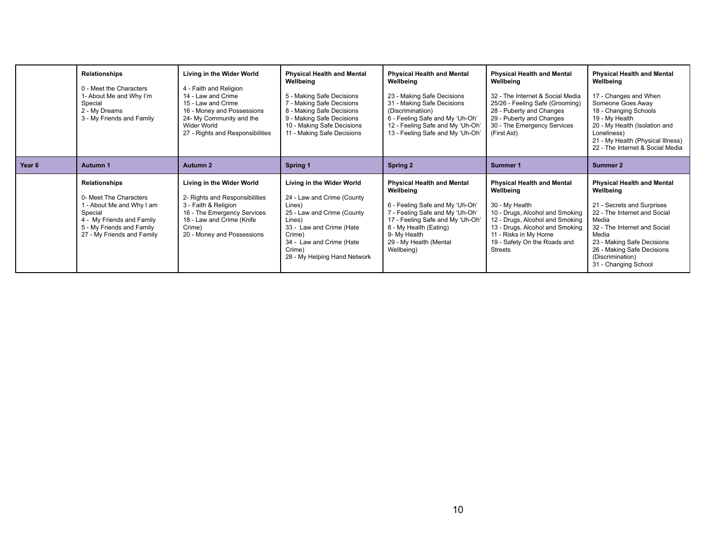|        | <b>Relationships</b><br>0 - Meet the Characters<br>1- About Me and Why I'm<br>Special<br>2 - My Dreams<br>3 - My Friends and Family                                            | Living in the Wider World<br>4 - Faith and Religion<br>14 - Law and Crime<br>15 - Law and Crime<br>16 - Money and Possessions<br>24- My Community and the<br><b>Wider World</b><br>27 - Rights and Responsibilities | <b>Physical Health and Mental</b><br>Wellbeing<br>5 - Making Safe Decisions<br>7 - Making Safe Decisions<br>8 - Making Safe Decisions<br>9 - Making Safe Decisions<br>10 - Making Safe Decisions<br>11 - Making Safe Decisions | <b>Physical Health and Mental</b><br>Wellbeing<br>23 - Making Safe Decisions<br>31 - Making Safe Decisions<br>(Discriminatiion)<br>6 - Feeling Safe and My 'Uh-Oh'<br>12 - Feeling Safe and My 'Uh-Oh'<br>13 - Feeling Safe and My 'Uh-Oh' | <b>Physical Health and Mental</b><br>Wellbeing<br>32 - The Internet & Social Media<br>25/26 - Feeling Safe (Grooming)<br>28 - Puberty and Changes<br>29 - Puberty and Changes<br>30 - The Emergency Services<br>(First Aid)                          | <b>Physical Health and Mental</b><br>Wellbeing<br>17 - Changes and When<br>Someone Goes Away<br>18 - Changing Schools<br>19 - My Health<br>20 - My Health (Isolation and<br>Loneliness)<br>21 - My Health (Physical Illness)<br>22 - The Internet & Social Media       |
|--------|--------------------------------------------------------------------------------------------------------------------------------------------------------------------------------|---------------------------------------------------------------------------------------------------------------------------------------------------------------------------------------------------------------------|--------------------------------------------------------------------------------------------------------------------------------------------------------------------------------------------------------------------------------|--------------------------------------------------------------------------------------------------------------------------------------------------------------------------------------------------------------------------------------------|------------------------------------------------------------------------------------------------------------------------------------------------------------------------------------------------------------------------------------------------------|------------------------------------------------------------------------------------------------------------------------------------------------------------------------------------------------------------------------------------------------------------------------|
| Year 6 | Autumn 1                                                                                                                                                                       | <b>Autumn 2</b>                                                                                                                                                                                                     | Spring 1                                                                                                                                                                                                                       | <b>Spring 2</b>                                                                                                                                                                                                                            | Summer 1                                                                                                                                                                                                                                             | Summer 2                                                                                                                                                                                                                                                               |
|        | <b>Relationships</b><br>0- Meet The Characters<br>1 - About Me and Why I am<br>Special<br>4 - My Friends and Family<br>5 - My Friends and Family<br>27 - My Friends and Family | Living in the Wider World<br>2- Rights and Responsibilities<br>3 - Faith & Religion<br>16 - The Emergency Services<br>18 - Law and Crime (Knife<br>Crime)<br>20 - Money and Possessions                             | Living in the Wider World<br>24 - Law and Crime (County<br>Lines)<br>25 - Law and Crime (County<br>Lines)<br>33 - Law and Crime (Hate<br>Crime)<br>34 - Law and Crime (Hate<br>Crime)<br>28 - My Helping Hand Network          | <b>Physical Health and Mental</b><br>Wellbeing<br>6 - Feeling Safe and My 'Uh-Oh'<br>7 - Feeling Safe and My 'Uh-Oh'<br>17 - Feeling Safe and My 'Uh-Oh'<br>8 - My Health (Eating)<br>9- My Health<br>29 - My Health (Mental<br>Wellbeing) | <b>Physical Health and Mental</b><br>Wellbeing<br>30 - My Health<br>10 - Drugs, Alcohol and Smoking<br>12 - Drugs, Alcohol and Smoking<br>13 - Drugs, Alcohol and Smoking<br>11 - Risks in My Home<br>19 - Safety On the Roads and<br><b>Streets</b> | <b>Physical Health and Mental</b><br>Wellbeing<br>21 - Secrets and Surprises<br>22 - The Internet and Social<br>Media<br>32 - The Internet and Social<br>Media<br>23 - Making Safe Decisions<br>26 - Making Safe Decisions<br>(Discrimination)<br>31 - Changing School |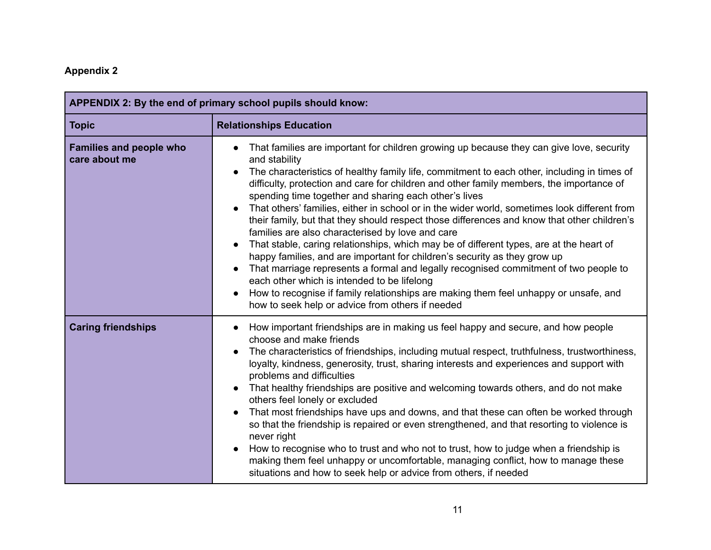# **Appendix 2**

| APPENDIX 2: By the end of primary school pupils should know: |                                                                                                                                                                                                                                                                                                                                                                                                                                                                                                                                                                                                                                                                                                                                                                                                                                                                                                                                                                                                                                                                             |  |  |
|--------------------------------------------------------------|-----------------------------------------------------------------------------------------------------------------------------------------------------------------------------------------------------------------------------------------------------------------------------------------------------------------------------------------------------------------------------------------------------------------------------------------------------------------------------------------------------------------------------------------------------------------------------------------------------------------------------------------------------------------------------------------------------------------------------------------------------------------------------------------------------------------------------------------------------------------------------------------------------------------------------------------------------------------------------------------------------------------------------------------------------------------------------|--|--|
| <b>Topic</b>                                                 | <b>Relationships Education</b>                                                                                                                                                                                                                                                                                                                                                                                                                                                                                                                                                                                                                                                                                                                                                                                                                                                                                                                                                                                                                                              |  |  |
| <b>Families and people who</b><br>care about me              | That families are important for children growing up because they can give love, security<br>and stability<br>The characteristics of healthy family life, commitment to each other, including in times of<br>difficulty, protection and care for children and other family members, the importance of<br>spending time together and sharing each other's lives<br>That others' families, either in school or in the wider world, sometimes look different from<br>their family, but that they should respect those differences and know that other children's<br>families are also characterised by love and care<br>That stable, caring relationships, which may be of different types, are at the heart of<br>happy families, and are important for children's security as they grow up<br>That marriage represents a formal and legally recognised commitment of two people to<br>each other which is intended to be lifelong<br>How to recognise if family relationships are making them feel unhappy or unsafe, and<br>how to seek help or advice from others if needed |  |  |
| <b>Caring friendships</b>                                    | How important friendships are in making us feel happy and secure, and how people<br>choose and make friends<br>The characteristics of friendships, including mutual respect, truthfulness, trustworthiness,<br>loyalty, kindness, generosity, trust, sharing interests and experiences and support with<br>problems and difficulties<br>That healthy friendships are positive and welcoming towards others, and do not make<br>others feel lonely or excluded<br>That most friendships have ups and downs, and that these can often be worked through<br>so that the friendship is repaired or even strengthened, and that resorting to violence is<br>never right<br>How to recognise who to trust and who not to trust, how to judge when a friendship is<br>making them feel unhappy or uncomfortable, managing conflict, how to manage these<br>situations and how to seek help or advice from others, if needed                                                                                                                                                        |  |  |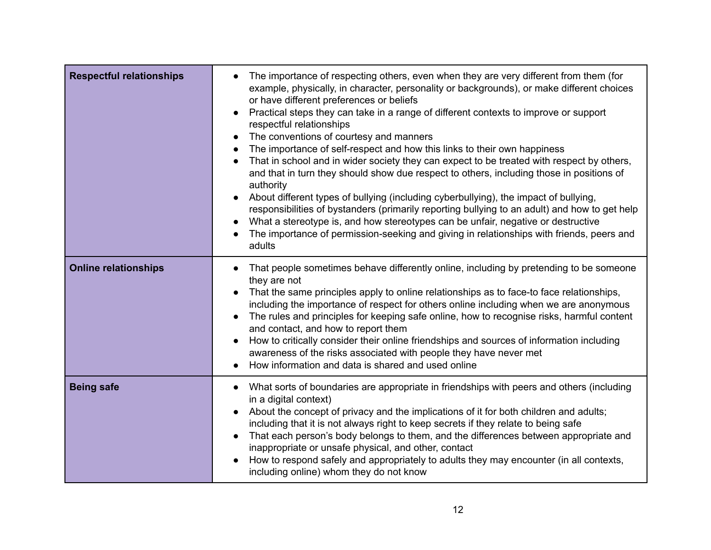| <b>Respectful relationships</b> | The importance of respecting others, even when they are very different from them (for<br>example, physically, in character, personality or backgrounds), or make different choices<br>or have different preferences or beliefs<br>Practical steps they can take in a range of different contexts to improve or support<br>respectful relationships<br>The conventions of courtesy and manners<br>The importance of self-respect and how this links to their own happiness<br>That in school and in wider society they can expect to be treated with respect by others,<br>and that in turn they should show due respect to others, including those in positions of<br>authority<br>About different types of bullying (including cyberbullying), the impact of bullying,<br>$\bullet$<br>responsibilities of bystanders (primarily reporting bullying to an adult) and how to get help<br>What a stereotype is, and how stereotypes can be unfair, negative or destructive<br>The importance of permission-seeking and giving in relationships with friends, peers and<br>adults |
|---------------------------------|---------------------------------------------------------------------------------------------------------------------------------------------------------------------------------------------------------------------------------------------------------------------------------------------------------------------------------------------------------------------------------------------------------------------------------------------------------------------------------------------------------------------------------------------------------------------------------------------------------------------------------------------------------------------------------------------------------------------------------------------------------------------------------------------------------------------------------------------------------------------------------------------------------------------------------------------------------------------------------------------------------------------------------------------------------------------------------|
| <b>Online relationships</b>     | That people sometimes behave differently online, including by pretending to be someone<br>they are not<br>That the same principles apply to online relationships as to face-to face relationships,<br>including the importance of respect for others online including when we are anonymous<br>The rules and principles for keeping safe online, how to recognise risks, harmful content<br>and contact, and how to report them<br>How to critically consider their online friendships and sources of information including<br>$\bullet$<br>awareness of the risks associated with people they have never met<br>How information and data is shared and used online                                                                                                                                                                                                                                                                                                                                                                                                             |
| <b>Being safe</b>               | What sorts of boundaries are appropriate in friendships with peers and others (including<br>in a digital context)<br>About the concept of privacy and the implications of it for both children and adults;<br>including that it is not always right to keep secrets if they relate to being safe<br>That each person's body belongs to them, and the differences between appropriate and<br>inappropriate or unsafe physical, and other, contact<br>How to respond safely and appropriately to adults they may encounter (in all contexts,<br>including online) whom they do not know                                                                                                                                                                                                                                                                                                                                                                                                                                                                                           |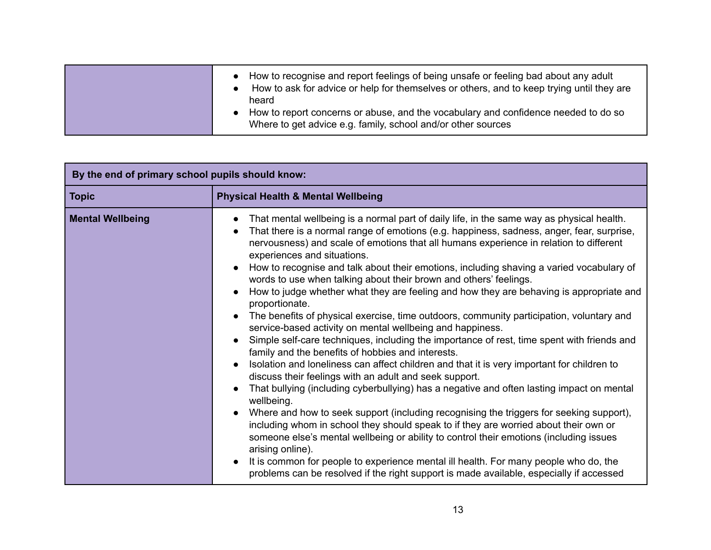| How to recognise and report feelings of being unsafe or feeling bad about any adult<br>How to ask for advice or help for themselves or others, and to keep trying until they are<br>heard<br>How to report concerns or abuse, and the vocabulary and confidence needed to do so<br>Where to get advice e.g. family, school and/or other sources |  |
|-------------------------------------------------------------------------------------------------------------------------------------------------------------------------------------------------------------------------------------------------------------------------------------------------------------------------------------------------|--|
|-------------------------------------------------------------------------------------------------------------------------------------------------------------------------------------------------------------------------------------------------------------------------------------------------------------------------------------------------|--|

| By the end of primary school pupils should know: |                                                                                                                                                                                                                                                                                                                                                                                                                                                                                                                                                                                                                                                                                                                                                                                                                                                                                                                                                                                                                                                                                                                                                                                                                                                                                                                                                                                                                                                                                                                                                                                                                                                                  |  |  |  |
|--------------------------------------------------|------------------------------------------------------------------------------------------------------------------------------------------------------------------------------------------------------------------------------------------------------------------------------------------------------------------------------------------------------------------------------------------------------------------------------------------------------------------------------------------------------------------------------------------------------------------------------------------------------------------------------------------------------------------------------------------------------------------------------------------------------------------------------------------------------------------------------------------------------------------------------------------------------------------------------------------------------------------------------------------------------------------------------------------------------------------------------------------------------------------------------------------------------------------------------------------------------------------------------------------------------------------------------------------------------------------------------------------------------------------------------------------------------------------------------------------------------------------------------------------------------------------------------------------------------------------------------------------------------------------------------------------------------------------|--|--|--|
| <b>Topic</b>                                     | <b>Physical Health &amp; Mental Wellbeing</b>                                                                                                                                                                                                                                                                                                                                                                                                                                                                                                                                                                                                                                                                                                                                                                                                                                                                                                                                                                                                                                                                                                                                                                                                                                                                                                                                                                                                                                                                                                                                                                                                                    |  |  |  |
| <b>Mental Wellbeing</b>                          | That mental wellbeing is a normal part of daily life, in the same way as physical health.<br>That there is a normal range of emotions (e.g. happiness, sadness, anger, fear, surprise,<br>nervousness) and scale of emotions that all humans experience in relation to different<br>experiences and situations.<br>How to recognise and talk about their emotions, including shaving a varied vocabulary of<br>words to use when talking about their brown and others' feelings.<br>How to judge whether what they are feeling and how they are behaving is appropriate and<br>proportionate.<br>The benefits of physical exercise, time outdoors, community participation, voluntary and<br>service-based activity on mental wellbeing and happiness.<br>Simple self-care techniques, including the importance of rest, time spent with friends and<br>family and the benefits of hobbies and interests.<br>Isolation and loneliness can affect children and that it is very important for children to<br>discuss their feelings with an adult and seek support.<br>That bullying (including cyberbullying) has a negative and often lasting impact on mental<br>wellbeing.<br>Where and how to seek support (including recognising the triggers for seeking support),<br>including whom in school they should speak to if they are worried about their own or<br>someone else's mental wellbeing or ability to control their emotions (including issues<br>arising online).<br>It is common for people to experience mental ill health. For many people who do, the<br>problems can be resolved if the right support is made available, especially if accessed |  |  |  |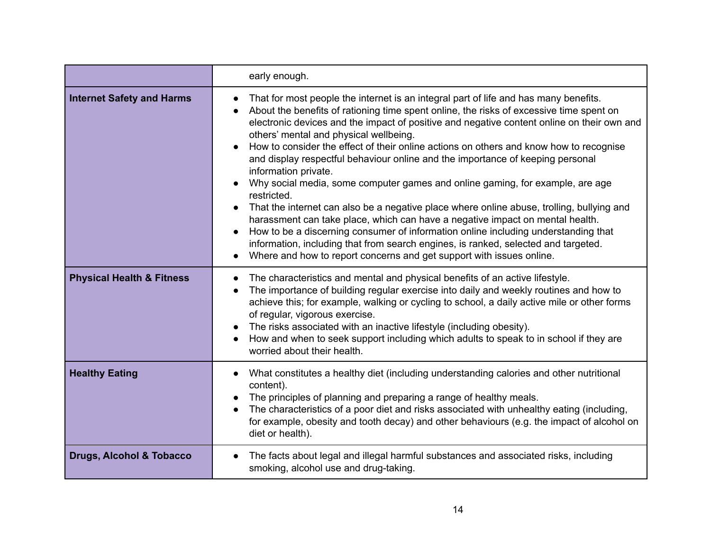|                                      | early enough.                                                                                                                                                                                                                                                                                                                                                                                                                                                                                                                                                                                                                                                                                                                                                                                                                                                                                                                                                                                                                                                 |  |
|--------------------------------------|---------------------------------------------------------------------------------------------------------------------------------------------------------------------------------------------------------------------------------------------------------------------------------------------------------------------------------------------------------------------------------------------------------------------------------------------------------------------------------------------------------------------------------------------------------------------------------------------------------------------------------------------------------------------------------------------------------------------------------------------------------------------------------------------------------------------------------------------------------------------------------------------------------------------------------------------------------------------------------------------------------------------------------------------------------------|--|
| <b>Internet Safety and Harms</b>     | That for most people the internet is an integral part of life and has many benefits.<br>About the benefits of rationing time spent online, the risks of excessive time spent on<br>electronic devices and the impact of positive and negative content online on their own and<br>others' mental and physical wellbeing.<br>How to consider the effect of their online actions on others and know how to recognise<br>and display respectful behaviour online and the importance of keeping personal<br>information private.<br>Why social media, some computer games and online gaming, for example, are age<br>restricted.<br>That the internet can also be a negative place where online abuse, trolling, bullying and<br>harassment can take place, which can have a negative impact on mental health.<br>How to be a discerning consumer of information online including understanding that<br>information, including that from search engines, is ranked, selected and targeted.<br>Where and how to report concerns and get support with issues online. |  |
| <b>Physical Health &amp; Fitness</b> | The characteristics and mental and physical benefits of an active lifestyle.<br>The importance of building regular exercise into daily and weekly routines and how to<br>achieve this; for example, walking or cycling to school, a daily active mile or other forms<br>of regular, vigorous exercise.<br>The risks associated with an inactive lifestyle (including obesity).<br>How and when to seek support including which adults to speak to in school if they are<br>worried about their health.                                                                                                                                                                                                                                                                                                                                                                                                                                                                                                                                                        |  |
| <b>Healthy Eating</b>                | What constitutes a healthy diet (including understanding calories and other nutritional<br>content).<br>The principles of planning and preparing a range of healthy meals.<br>The characteristics of a poor diet and risks associated with unhealthy eating (including,<br>for example, obesity and tooth decay) and other behaviours (e.g. the impact of alcohol on<br>diet or health).                                                                                                                                                                                                                                                                                                                                                                                                                                                                                                                                                                                                                                                                      |  |
| <b>Drugs, Alcohol &amp; Tobacco</b>  | The facts about legal and illegal harmful substances and associated risks, including<br>smoking, alcohol use and drug-taking.                                                                                                                                                                                                                                                                                                                                                                                                                                                                                                                                                                                                                                                                                                                                                                                                                                                                                                                                 |  |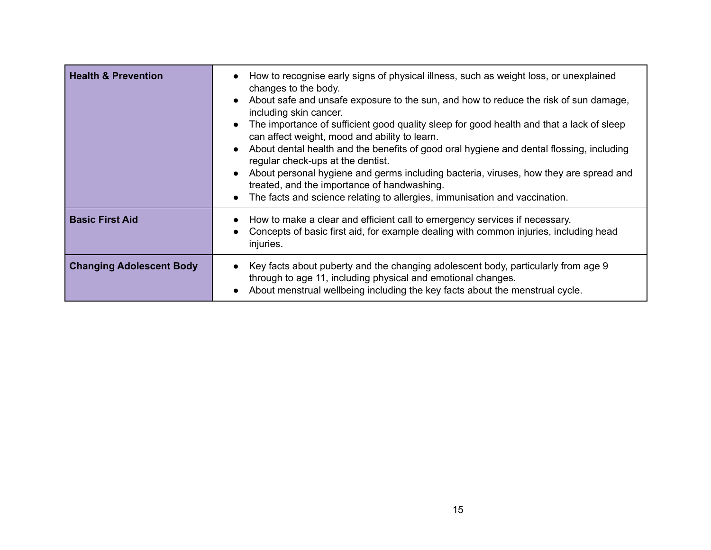| <b>Health &amp; Prevention</b>  | How to recognise early signs of physical illness, such as weight loss, or unexplained<br>changes to the body.<br>• About safe and unsafe exposure to the sun, and how to reduce the risk of sun damage,<br>including skin cancer.<br>The importance of sufficient good quality sleep for good health and that a lack of sleep<br>can affect weight, mood and ability to learn.<br>About dental health and the benefits of good oral hygiene and dental flossing, including<br>regular check-ups at the dentist.<br>About personal hygiene and germs including bacteria, viruses, how they are spread and<br>treated, and the importance of handwashing.<br>The facts and science relating to allergies, immunisation and vaccination. |
|---------------------------------|---------------------------------------------------------------------------------------------------------------------------------------------------------------------------------------------------------------------------------------------------------------------------------------------------------------------------------------------------------------------------------------------------------------------------------------------------------------------------------------------------------------------------------------------------------------------------------------------------------------------------------------------------------------------------------------------------------------------------------------|
| <b>Basic First Aid</b>          | How to make a clear and efficient call to emergency services if necessary.<br>Concepts of basic first aid, for example dealing with common injuries, including head<br>injuries.                                                                                                                                                                                                                                                                                                                                                                                                                                                                                                                                                      |
| <b>Changing Adolescent Body</b> | Key facts about puberty and the changing adolescent body, particularly from age 9<br>through to age 11, including physical and emotional changes.<br>About menstrual wellbeing including the key facts about the menstrual cycle.                                                                                                                                                                                                                                                                                                                                                                                                                                                                                                     |